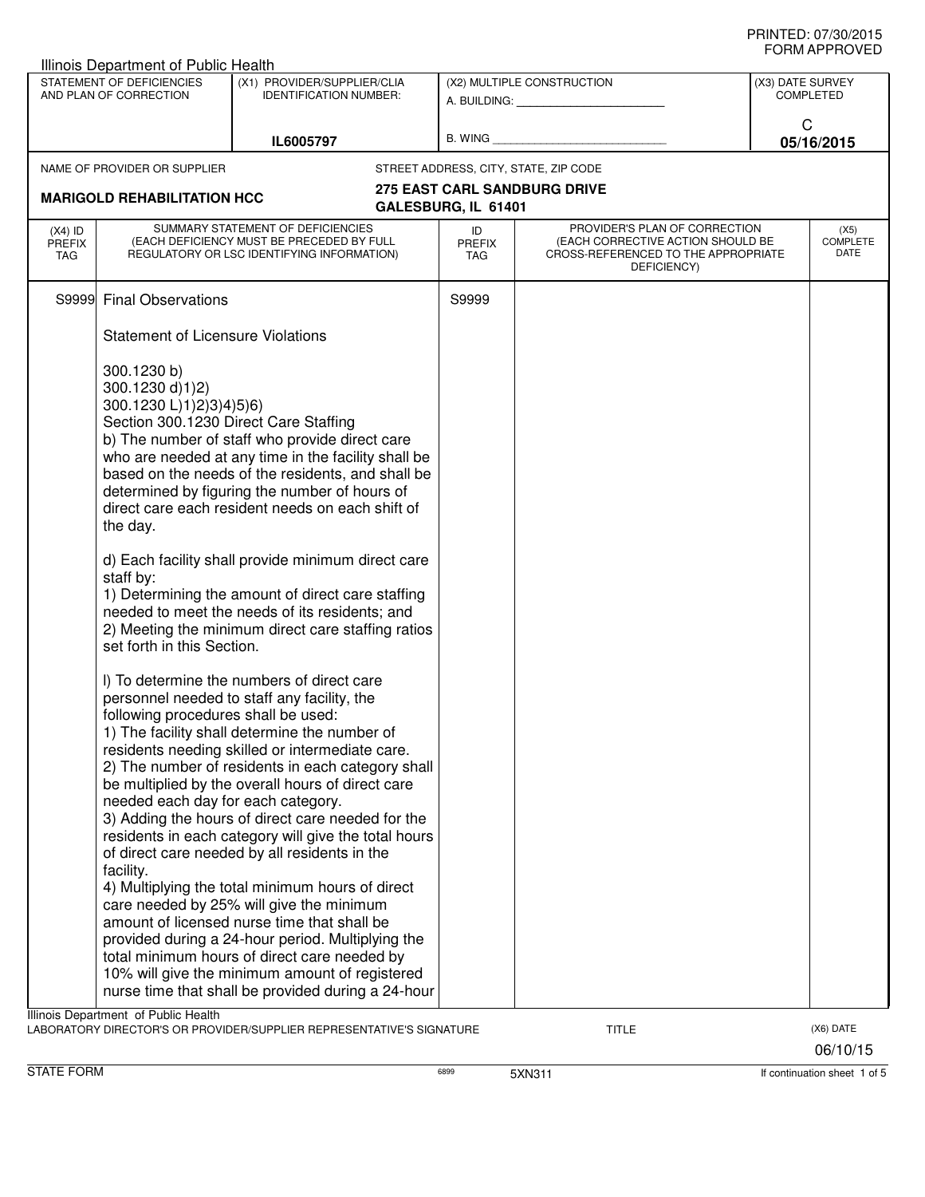| Illinois Department of Public Health                                  |                                                                                                                                                                                                                                                                                                                                                                                                                                                                                                                                                                                                                                                                                                                                                                                                                                                                                                                |                            |                                                                                                                          |                  |                                 |
|-----------------------------------------------------------------------|----------------------------------------------------------------------------------------------------------------------------------------------------------------------------------------------------------------------------------------------------------------------------------------------------------------------------------------------------------------------------------------------------------------------------------------------------------------------------------------------------------------------------------------------------------------------------------------------------------------------------------------------------------------------------------------------------------------------------------------------------------------------------------------------------------------------------------------------------------------------------------------------------------------|----------------------------|--------------------------------------------------------------------------------------------------------------------------|------------------|---------------------------------|
| STATEMENT OF DEFICIENCIES<br>AND PLAN OF CORRECTION                   | (X1) PROVIDER/SUPPLIER/CLIA<br><b>IDENTIFICATION NUMBER:</b>                                                                                                                                                                                                                                                                                                                                                                                                                                                                                                                                                                                                                                                                                                                                                                                                                                                   |                            | (X2) MULTIPLE CONSTRUCTION                                                                                               | (X3) DATE SURVEY | <b>COMPLETED</b>                |
|                                                                       | IL6005797                                                                                                                                                                                                                                                                                                                                                                                                                                                                                                                                                                                                                                                                                                                                                                                                                                                                                                      | B. WING                    |                                                                                                                          | C                | 05/16/2015                      |
| NAME OF PROVIDER OR SUPPLIER                                          |                                                                                                                                                                                                                                                                                                                                                                                                                                                                                                                                                                                                                                                                                                                                                                                                                                                                                                                |                            | STREET ADDRESS, CITY, STATE, ZIP CODE                                                                                    |                  |                                 |
| <b>MARIGOLD REHABILITATION HCC</b>                                    |                                                                                                                                                                                                                                                                                                                                                                                                                                                                                                                                                                                                                                                                                                                                                                                                                                                                                                                | GALESBURG, IL 61401        | <b>275 EAST CARL SANDBURG DRIVE</b>                                                                                      |                  |                                 |
| $(X4)$ ID<br><b>PREFIX</b><br>TAG                                     | SUMMARY STATEMENT OF DEFICIENCIES<br>(EACH DEFICIENCY MUST BE PRECEDED BY FULL<br>REGULATORY OR LSC IDENTIFYING INFORMATION)                                                                                                                                                                                                                                                                                                                                                                                                                                                                                                                                                                                                                                                                                                                                                                                   | ID<br>PREFIX<br><b>TAG</b> | PROVIDER'S PLAN OF CORRECTION<br>(EACH CORRECTIVE ACTION SHOULD BE<br>CROSS-REFERENCED TO THE APPROPRIATE<br>DEFICIENCY) |                  | (X5)<br><b>COMPLETE</b><br>DATE |
| <b>Final Observations</b><br>S9999                                    |                                                                                                                                                                                                                                                                                                                                                                                                                                                                                                                                                                                                                                                                                                                                                                                                                                                                                                                | S9999                      |                                                                                                                          |                  |                                 |
| <b>Statement of Licensure Violations</b>                              |                                                                                                                                                                                                                                                                                                                                                                                                                                                                                                                                                                                                                                                                                                                                                                                                                                                                                                                |                            |                                                                                                                          |                  |                                 |
| 300.1230 b)<br>300.1230 d)1)2)<br>300.1230 L)1)2)3)4)5)6)<br>the day. | Section 300.1230 Direct Care Staffing<br>b) The number of staff who provide direct care<br>who are needed at any time in the facility shall be<br>based on the needs of the residents, and shall be<br>determined by figuring the number of hours of<br>direct care each resident needs on each shift of                                                                                                                                                                                                                                                                                                                                                                                                                                                                                                                                                                                                       |                            |                                                                                                                          |                  |                                 |
| staff by:<br>set forth in this Section.                               | d) Each facility shall provide minimum direct care<br>1) Determining the amount of direct care staffing<br>needed to meet the needs of its residents; and<br>2) Meeting the minimum direct care staffing ratios                                                                                                                                                                                                                                                                                                                                                                                                                                                                                                                                                                                                                                                                                                |                            |                                                                                                                          |                  |                                 |
| facility.                                                             | I) To determine the numbers of direct care<br>personnel needed to staff any facility, the<br>following procedures shall be used:<br>1) The facility shall determine the number of<br>residents needing skilled or intermediate care.<br>2) The number of residents in each category shall<br>be multiplied by the overall hours of direct care<br>needed each day for each category.<br>3) Adding the hours of direct care needed for the<br>residents in each category will give the total hours<br>of direct care needed by all residents in the<br>4) Multiplying the total minimum hours of direct<br>care needed by 25% will give the minimum<br>amount of licensed nurse time that shall be<br>provided during a 24-hour period. Multiplying the<br>total minimum hours of direct care needed by<br>10% will give the minimum amount of registered<br>nurse time that shall be provided during a 24-hour |                            |                                                                                                                          |                  |                                 |
| Illinois Department of Public Health                                  | LABORATORY DIRECTOR'S OR PROVIDER/SUPPLIER REPRESENTATIVE'S SIGNATURE                                                                                                                                                                                                                                                                                                                                                                                                                                                                                                                                                                                                                                                                                                                                                                                                                                          |                            | TITLE                                                                                                                    |                  | (X6) DATE                       |

06/10/15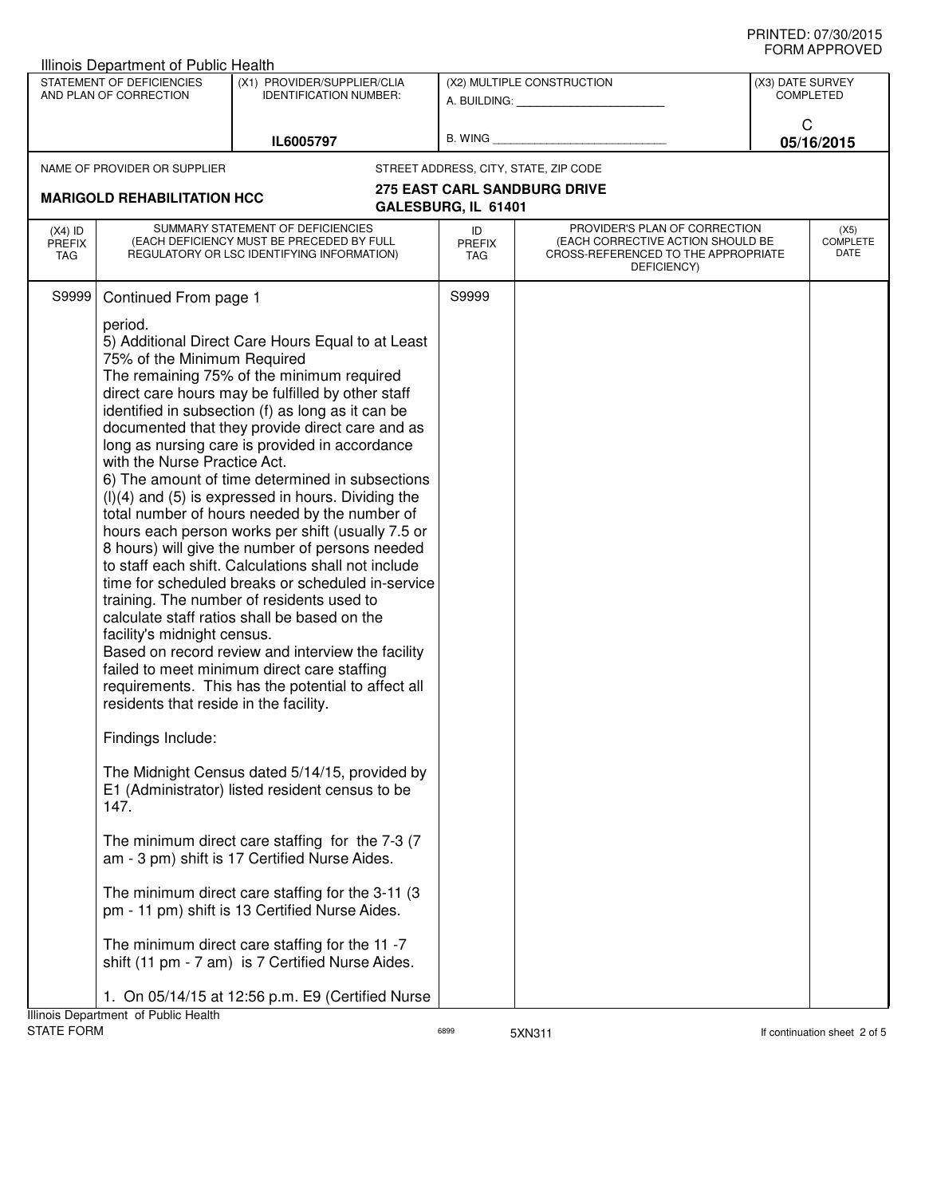|                                   | <b>Illinois Department of Public Health</b>                                                                                                                                                           |                                                                                                                                                                                                                                                                                                                                                                                                                                                                                                                                                                                                                                                                                                                                                                                                                                                                                                                                                                                                                                                                                                                                                                                                                                                                                                                                                                              |                            |                                                                                                                          |                  |                                 |
|-----------------------------------|-------------------------------------------------------------------------------------------------------------------------------------------------------------------------------------------------------|------------------------------------------------------------------------------------------------------------------------------------------------------------------------------------------------------------------------------------------------------------------------------------------------------------------------------------------------------------------------------------------------------------------------------------------------------------------------------------------------------------------------------------------------------------------------------------------------------------------------------------------------------------------------------------------------------------------------------------------------------------------------------------------------------------------------------------------------------------------------------------------------------------------------------------------------------------------------------------------------------------------------------------------------------------------------------------------------------------------------------------------------------------------------------------------------------------------------------------------------------------------------------------------------------------------------------------------------------------------------------|----------------------------|--------------------------------------------------------------------------------------------------------------------------|------------------|---------------------------------|
|                                   | STATEMENT OF DEFICIENCIES<br>AND PLAN OF CORRECTION                                                                                                                                                   | (X1) PROVIDER/SUPPLIER/CLIA<br><b>IDENTIFICATION NUMBER:</b>                                                                                                                                                                                                                                                                                                                                                                                                                                                                                                                                                                                                                                                                                                                                                                                                                                                                                                                                                                                                                                                                                                                                                                                                                                                                                                                 |                            | (X2) MULTIPLE CONSTRUCTION<br>A. BUILDING: A. BUILDING:                                                                  | (X3) DATE SURVEY | <b>COMPLETED</b>                |
|                                   |                                                                                                                                                                                                       | IL6005797                                                                                                                                                                                                                                                                                                                                                                                                                                                                                                                                                                                                                                                                                                                                                                                                                                                                                                                                                                                                                                                                                                                                                                                                                                                                                                                                                                    | B. WING                    |                                                                                                                          | C                | 05/16/2015                      |
|                                   | NAME OF PROVIDER OR SUPPLIER                                                                                                                                                                          |                                                                                                                                                                                                                                                                                                                                                                                                                                                                                                                                                                                                                                                                                                                                                                                                                                                                                                                                                                                                                                                                                                                                                                                                                                                                                                                                                                              |                            | STREET ADDRESS, CITY, STATE, ZIP CODE                                                                                    |                  |                                 |
|                                   |                                                                                                                                                                                                       |                                                                                                                                                                                                                                                                                                                                                                                                                                                                                                                                                                                                                                                                                                                                                                                                                                                                                                                                                                                                                                                                                                                                                                                                                                                                                                                                                                              |                            | <b>275 EAST CARL SANDBURG DRIVE</b>                                                                                      |                  |                                 |
|                                   | <b>MARIGOLD REHABILITATION HCC</b>                                                                                                                                                                    |                                                                                                                                                                                                                                                                                                                                                                                                                                                                                                                                                                                                                                                                                                                                                                                                                                                                                                                                                                                                                                                                                                                                                                                                                                                                                                                                                                              | GALESBURG, IL 61401        |                                                                                                                          |                  |                                 |
| $(X4)$ ID<br>PREFIX<br><b>TAG</b> |                                                                                                                                                                                                       | SUMMARY STATEMENT OF DEFICIENCIES<br>(EACH DEFICIENCY MUST BE PRECEDED BY FULL<br>REGULATORY OR LSC IDENTIFYING INFORMATION)                                                                                                                                                                                                                                                                                                                                                                                                                                                                                                                                                                                                                                                                                                                                                                                                                                                                                                                                                                                                                                                                                                                                                                                                                                                 | ID<br><b>PREFIX</b><br>TAG | PROVIDER'S PLAN OF CORRECTION<br>(EACH CORRECTIVE ACTION SHOULD BE<br>CROSS-REFERENCED TO THE APPROPRIATE<br>DEFICIENCY) |                  | (X5)<br><b>COMPLETE</b><br>DATE |
| S9999                             | Continued From page 1<br>period.<br>75% of the Minimum Required<br>with the Nurse Practice Act.<br>facility's midnight census.<br>residents that reside in the facility.<br>Findings Include:<br>147. | 5) Additional Direct Care Hours Equal to at Least<br>The remaining 75% of the minimum required<br>direct care hours may be fulfilled by other staff<br>identified in subsection (f) as long as it can be<br>documented that they provide direct care and as<br>long as nursing care is provided in accordance<br>6) The amount of time determined in subsections<br>$(l)(4)$ and $(5)$ is expressed in hours. Dividing the<br>total number of hours needed by the number of<br>hours each person works per shift (usually 7.5 or<br>8 hours) will give the number of persons needed<br>to staff each shift. Calculations shall not include<br>time for scheduled breaks or scheduled in-service<br>training. The number of residents used to<br>calculate staff ratios shall be based on the<br>Based on record review and interview the facility<br>failed to meet minimum direct care staffing<br>requirements. This has the potential to affect all<br>The Midnight Census dated 5/14/15, provided by<br>E1 (Administrator) listed resident census to be<br>The minimum direct care staffing for the 7-3 (7<br>am - 3 pm) shift is 17 Certified Nurse Aides.<br>The minimum direct care staffing for the 3-11 (3)<br>pm - 11 pm) shift is 13 Certified Nurse Aides.<br>The minimum direct care staffing for the 11 -7<br>shift (11 pm - 7 am) is 7 Certified Nurse Aides. | S9999                      |                                                                                                                          |                  |                                 |
|                                   |                                                                                                                                                                                                       | 1. On 05/14/15 at 12:56 p.m. E9 (Certified Nurse                                                                                                                                                                                                                                                                                                                                                                                                                                                                                                                                                                                                                                                                                                                                                                                                                                                                                                                                                                                                                                                                                                                                                                                                                                                                                                                             |                            |                                                                                                                          |                  |                                 |
| <b>STATE FORM</b>                 | Illinois Department of Public Health                                                                                                                                                                  |                                                                                                                                                                                                                                                                                                                                                                                                                                                                                                                                                                                                                                                                                                                                                                                                                                                                                                                                                                                                                                                                                                                                                                                                                                                                                                                                                                              | 6899                       | 5XN311                                                                                                                   |                  | If continuation sheet 2 of 5    |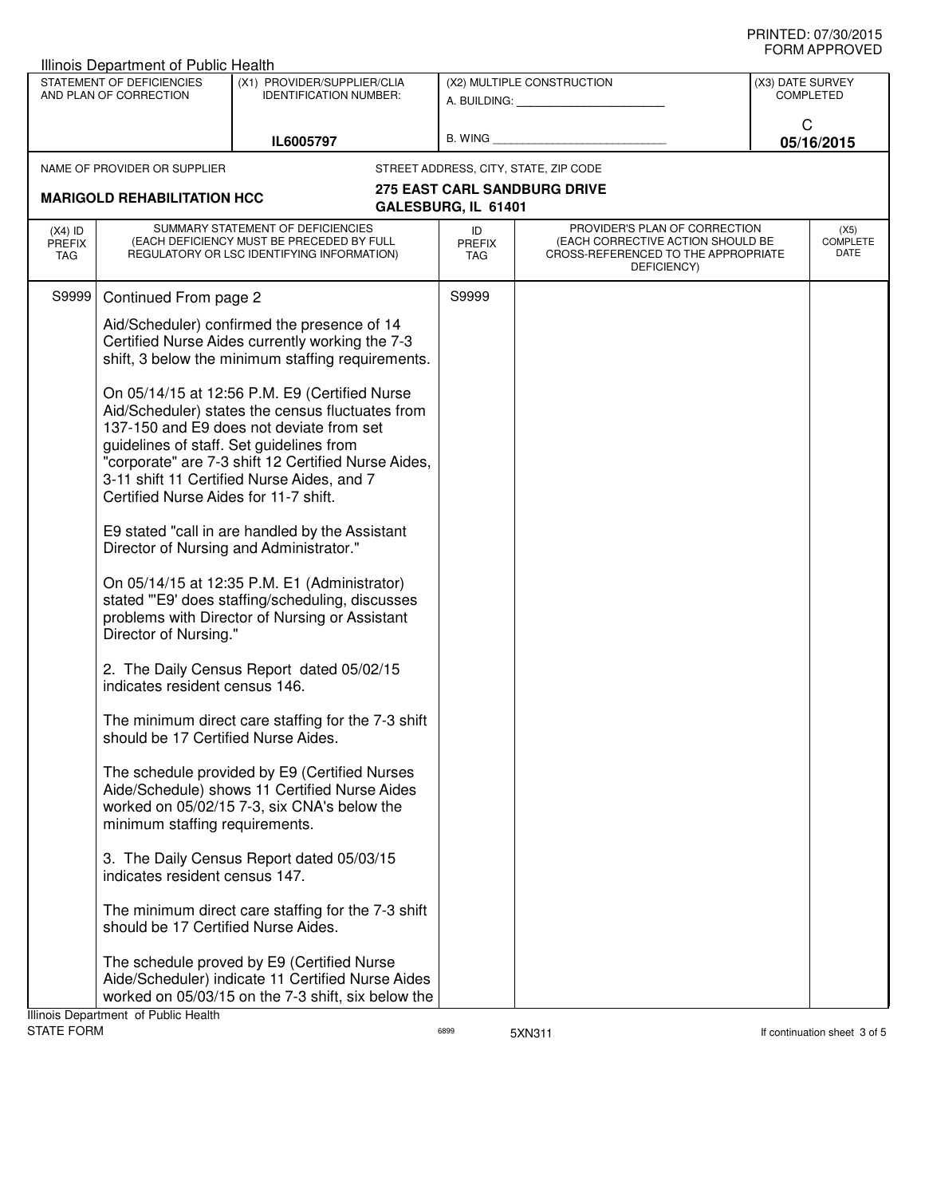|                                   | <b>Illinois Department of Public Health</b>                                       |                                                                                                                                                                                                                                                    |                            |                                                                                                                          |                  |                                 |
|-----------------------------------|-----------------------------------------------------------------------------------|----------------------------------------------------------------------------------------------------------------------------------------------------------------------------------------------------------------------------------------------------|----------------------------|--------------------------------------------------------------------------------------------------------------------------|------------------|---------------------------------|
|                                   | STATEMENT OF DEFICIENCIES<br>AND PLAN OF CORRECTION                               | (X1) PROVIDER/SUPPLIER/CLIA<br><b>IDENTIFICATION NUMBER:</b>                                                                                                                                                                                       |                            | (X2) MULTIPLE CONSTRUCTION<br>A. BUILDING: A. BUILDING:                                                                  | (X3) DATE SURVEY | <b>COMPLETED</b>                |
|                                   |                                                                                   | IL6005797                                                                                                                                                                                                                                          | B. WING                    |                                                                                                                          | C                | 05/16/2015                      |
|                                   | NAME OF PROVIDER OR SUPPLIER                                                      |                                                                                                                                                                                                                                                    |                            | STREET ADDRESS, CITY, STATE, ZIP CODE                                                                                    |                  |                                 |
|                                   | <b>MARIGOLD REHABILITATION HCC</b>                                                |                                                                                                                                                                                                                                                    | GALESBURG, IL 61401        | <b>275 EAST CARL SANDBURG DRIVE</b>                                                                                      |                  |                                 |
| $(X4)$ ID<br><b>PREFIX</b><br>TAG |                                                                                   | SUMMARY STATEMENT OF DEFICIENCIES<br>(EACH DEFICIENCY MUST BE PRECEDED BY FULL<br>REGULATORY OR LSC IDENTIFYING INFORMATION)                                                                                                                       | ID<br>PREFIX<br><b>TAG</b> | PROVIDER'S PLAN OF CORRECTION<br>(EACH CORRECTIVE ACTION SHOULD BE<br>CROSS-REFERENCED TO THE APPROPRIATE<br>DEFICIENCY) |                  | (X5)<br><b>COMPLETE</b><br>DATE |
| S9999                             | Continued From page 2                                                             |                                                                                                                                                                                                                                                    | S9999                      |                                                                                                                          |                  |                                 |
|                                   |                                                                                   | Aid/Scheduler) confirmed the presence of 14<br>Certified Nurse Aides currently working the 7-3<br>shift, 3 below the minimum staffing requirements.                                                                                                |                            |                                                                                                                          |                  |                                 |
|                                   | guidelines of staff. Set guidelines from<br>Certified Nurse Aides for 11-7 shift. | On 05/14/15 at 12:56 P.M. E9 (Certified Nurse<br>Aid/Scheduler) states the census fluctuates from<br>137-150 and E9 does not deviate from set<br>"corporate" are 7-3 shift 12 Certified Nurse Aides,<br>3-11 shift 11 Certified Nurse Aides, and 7 |                            |                                                                                                                          |                  |                                 |
|                                   |                                                                                   | E9 stated "call in are handled by the Assistant<br>Director of Nursing and Administrator."                                                                                                                                                         |                            |                                                                                                                          |                  |                                 |
|                                   | Director of Nursing."                                                             | On 05/14/15 at 12:35 P.M. E1 (Administrator)<br>stated "'E9' does staffing/scheduling, discusses<br>problems with Director of Nursing or Assistant                                                                                                 |                            |                                                                                                                          |                  |                                 |
|                                   | indicates resident census 146.                                                    | 2. The Daily Census Report dated 05/02/15                                                                                                                                                                                                          |                            |                                                                                                                          |                  |                                 |
|                                   | should be 17 Certified Nurse Aides.                                               | The minimum direct care staffing for the 7-3 shift                                                                                                                                                                                                 |                            |                                                                                                                          |                  |                                 |
|                                   | minimum staffing requirements.                                                    | The schedule provided by E9 (Certified Nurses<br>Aide/Schedule) shows 11 Certified Nurse Aides<br>worked on 05/02/15 7-3, six CNA's below the                                                                                                      |                            |                                                                                                                          |                  |                                 |
|                                   | indicates resident census 147.                                                    | 3. The Daily Census Report dated 05/03/15                                                                                                                                                                                                          |                            |                                                                                                                          |                  |                                 |
|                                   | should be 17 Certified Nurse Aides.                                               | The minimum direct care staffing for the 7-3 shift                                                                                                                                                                                                 |                            |                                                                                                                          |                  |                                 |
|                                   | Illinois Denartment, of Public Health                                             | The schedule proved by E9 (Certified Nurse<br>Aide/Scheduler) indicate 11 Certified Nurse Aides<br>worked on 05/03/15 on the 7-3 shift, six below the                                                                                              |                            |                                                                                                                          |                  |                                 |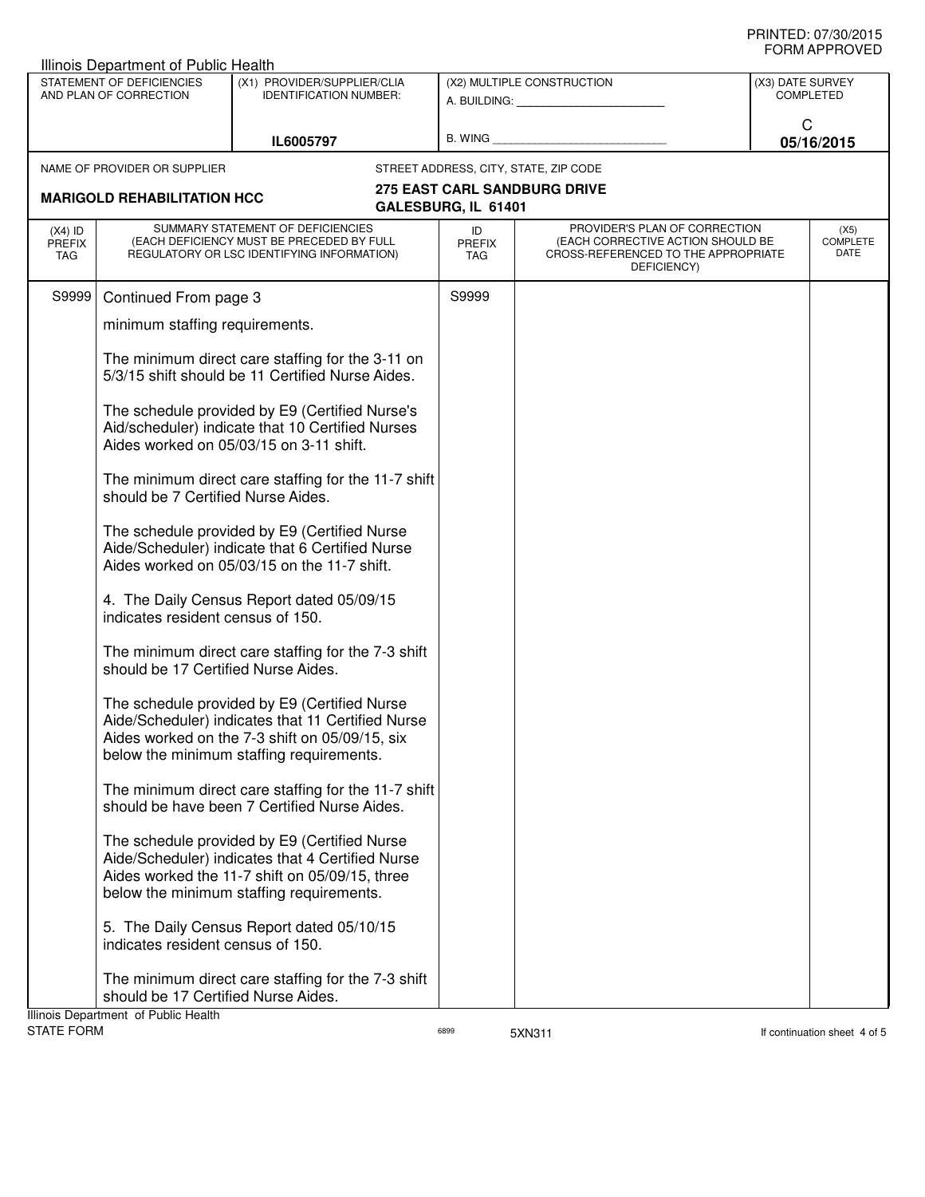|                                   | Illinois Department of Public Health                                        |                                                                                                                                                                                                 |                                   |                                                                                                                          |                                      |                                 |
|-----------------------------------|-----------------------------------------------------------------------------|-------------------------------------------------------------------------------------------------------------------------------------------------------------------------------------------------|-----------------------------------|--------------------------------------------------------------------------------------------------------------------------|--------------------------------------|---------------------------------|
|                                   | STATEMENT OF DEFICIENCIES<br>AND PLAN OF CORRECTION                         | (X1) PROVIDER/SUPPLIER/CLIA<br><b>IDENTIFICATION NUMBER:</b>                                                                                                                                    |                                   | (X2) MULTIPLE CONSTRUCTION                                                                                               | (X3) DATE SURVEY<br><b>COMPLETED</b> |                                 |
|                                   |                                                                             | IL6005797                                                                                                                                                                                       | <b>B. WING</b>                    |                                                                                                                          | C<br>05/16/2015                      |                                 |
|                                   | NAME OF PROVIDER OR SUPPLIER                                                |                                                                                                                                                                                                 |                                   | STREET ADDRESS, CITY, STATE, ZIP CODE                                                                                    |                                      |                                 |
|                                   | <b>MARIGOLD REHABILITATION HCC</b>                                          |                                                                                                                                                                                                 | GALESBURG, IL 61401               | <b>275 EAST CARL SANDBURG DRIVE</b>                                                                                      |                                      |                                 |
| $(X4)$ ID<br><b>PREFIX</b><br>TAG |                                                                             | SUMMARY STATEMENT OF DEFICIENCIES<br>(EACH DEFICIENCY MUST BE PRECEDED BY FULL<br>REGULATORY OR LSC IDENTIFYING INFORMATION)                                                                    | ID<br><b>PREFIX</b><br><b>TAG</b> | PROVIDER'S PLAN OF CORRECTION<br>(EACH CORRECTIVE ACTION SHOULD BE<br>CROSS-REFERENCED TO THE APPROPRIATE<br>DEFICIENCY) |                                      | (X5)<br><b>COMPLETE</b><br>DATE |
| S9999                             | Continued From page 3                                                       |                                                                                                                                                                                                 | S9999                             |                                                                                                                          |                                      |                                 |
|                                   | minimum staffing requirements.                                              |                                                                                                                                                                                                 |                                   |                                                                                                                          |                                      |                                 |
|                                   |                                                                             | The minimum direct care staffing for the 3-11 on<br>5/3/15 shift should be 11 Certified Nurse Aides.                                                                                            |                                   |                                                                                                                          |                                      |                                 |
|                                   |                                                                             | The schedule provided by E9 (Certified Nurse's<br>Aid/scheduler) indicate that 10 Certified Nurses<br>Aides worked on 05/03/15 on 3-11 shift.                                                   |                                   |                                                                                                                          |                                      |                                 |
|                                   | should be 7 Certified Nurse Aides.                                          | The minimum direct care staffing for the 11-7 shift                                                                                                                                             |                                   |                                                                                                                          |                                      |                                 |
|                                   |                                                                             | The schedule provided by E9 (Certified Nurse<br>Aide/Scheduler) indicate that 6 Certified Nurse<br>Aides worked on 05/03/15 on the 11-7 shift.                                                  |                                   |                                                                                                                          |                                      |                                 |
|                                   | indicates resident census of 150.                                           | 4. The Daily Census Report dated 05/09/15                                                                                                                                                       |                                   |                                                                                                                          |                                      |                                 |
|                                   | should be 17 Certified Nurse Aides.                                         | The minimum direct care staffing for the 7-3 shift                                                                                                                                              |                                   |                                                                                                                          |                                      |                                 |
|                                   |                                                                             | The schedule provided by E9 (Certified Nurse<br>Aide/Scheduler) indicates that 11 Certified Nurse<br>Aides worked on the 7-3 shift on 05/09/15, six<br>below the minimum staffing requirements. |                                   |                                                                                                                          |                                      |                                 |
|                                   |                                                                             | The minimum direct care staffing for the 11-7 shift<br>should be have been 7 Certified Nurse Aides.                                                                                             |                                   |                                                                                                                          |                                      |                                 |
|                                   |                                                                             | The schedule provided by E9 (Certified Nurse<br>Aide/Scheduler) indicates that 4 Certified Nurse<br>Aides worked the 11-7 shift on 05/09/15, three<br>below the minimum staffing requirements.  |                                   |                                                                                                                          |                                      |                                 |
|                                   | indicates resident census of 150.                                           | 5. The Daily Census Report dated 05/10/15                                                                                                                                                       |                                   |                                                                                                                          |                                      |                                 |
|                                   | should be 17 Certified Nurse Aides.<br>Illinois Department of Public Health | The minimum direct care staffing for the 7-3 shift                                                                                                                                              |                                   |                                                                                                                          |                                      |                                 |

STATE FORM **EXAMPLE 19** FORM **6899** 6899 5XN311 6899 5XN311